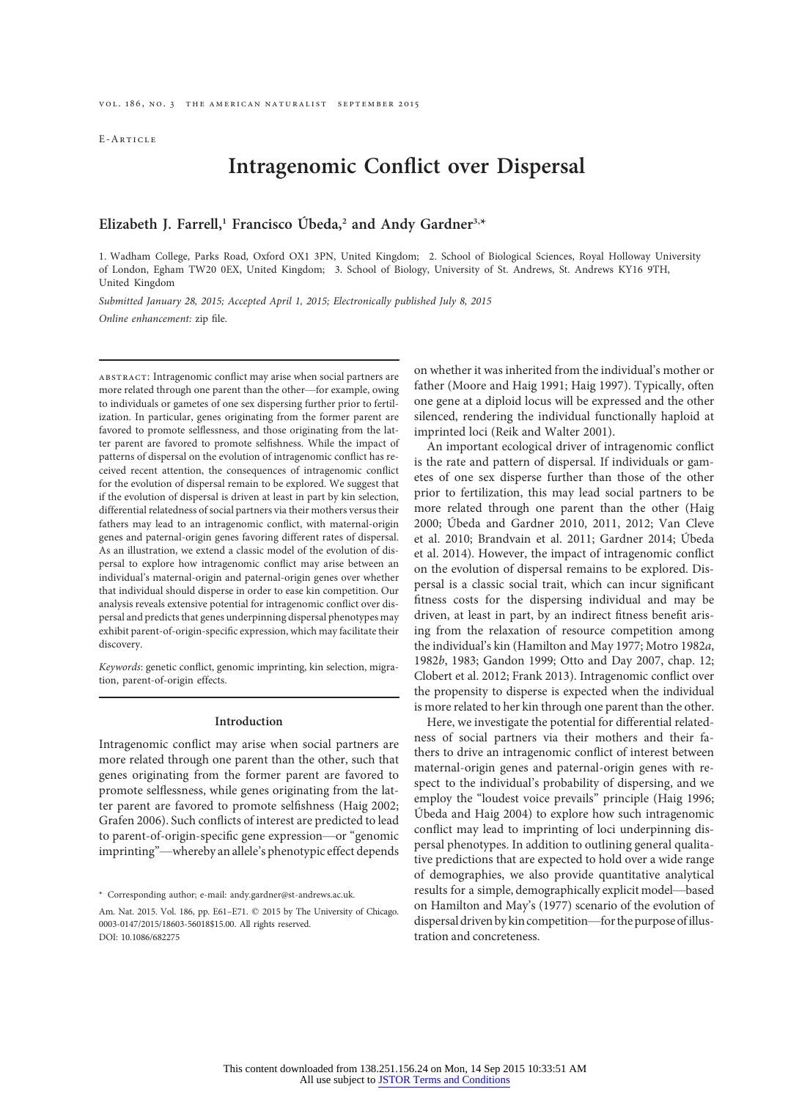E-Article

# Intragenomic Conflict over Dispersal

Elizabeth J. Farrell,<sup>1</sup> Francisco Úbeda,<sup>2</sup> and Andy Gardner<sup>3,\*</sup>

1. Wadham College, Parks Road, Oxford OX1 3PN, United Kingdom; 2. School of Biological Sciences, Royal Holloway University of London, Egham TW20 0EX, United Kingdom; 3. School of Biology, University of St. Andrews, St. Andrews KY16 9TH, United Kingdom

Submitted January 28, 2015; Accepted April 1, 2015; Electronically published July 8, 2015 Online enhancement: zip file.

abstract: Intragenomic conflict may arise when social partners are more related through one parent than the other—for example, owing to individuals or gametes of one sex dispersing further prior to fertilization. In particular, genes originating from the former parent are favored to promote selflessness, and those originating from the latter parent are favored to promote selfishness. While the impact of patterns of dispersal on the evolution of intragenomic conflict has received recent attention, the consequences of intragenomic conflict for the evolution of dispersal remain to be explored. We suggest that if the evolution of dispersal is driven at least in part by kin selection, differential relatedness of social partners via their mothers versus their fathers may lead to an intragenomic conflict, with maternal-origin genes and paternal-origin genes favoring different rates of dispersal. As an illustration, we extend a classic model of the evolution of dispersal to explore how intragenomic conflict may arise between an individual's maternal-origin and paternal-origin genes over whether that individual should disperse in order to ease kin competition. Our analysis reveals extensive potential for intragenomic conflict over dispersal and predicts that genes underpinning dispersal phenotypes may exhibit parent-of-origin-specific expression, which may facilitate their discovery.

Keywords: genetic conflict, genomic imprinting, kin selection, migration, parent-of-origin effects.

#### Introduction

Intragenomic conflict may arise when social partners are more related through one parent than the other, such that genes originating from the former parent are favored to promote selflessness, while genes originating from the latter parent are favored to promote selfishness (Haig 2002; Grafen 2006). Such conflicts of interest are predicted to lead to parent-of-origin-specific gene expression—or "genomic imprinting"—whereby an allele's phenotypic effect depends on whether it was inherited from the individual's mother or father (Moore and Haig 1991; Haig 1997). Typically, often one gene at a diploid locus will be expressed and the other silenced, rendering the individual functionally haploid at imprinted loci (Reik and Walter 2001).

An important ecological driver of intragenomic conflict is the rate and pattern of dispersal. If individuals or gametes of one sex disperse further than those of the other prior to fertilization, this may lead social partners to be more related through one parent than the other (Haig 2000; Úbeda and Gardner 2010, 2011, 2012; Van Cleve et al. 2010; Brandvain et al. 2011; Gardner 2014; Úbeda et al. 2014). However, the impact of intragenomic conflict on the evolution of dispersal remains to be explored. Dispersal is a classic social trait, which can incur significant fitness costs for the dispersing individual and may be driven, at least in part, by an indirect fitness benefit arising from the relaxation of resource competition among the individual's kin (Hamilton and May 1977; Motro 1982a, 1982b, 1983; Gandon 1999; Otto and Day 2007, chap. 12; Clobert et al. 2012; Frank 2013). Intragenomic conflict over the propensity to disperse is expected when the individual is more related to her kin through one parent than the other.

Here, we investigate the potential for differential relatedness of social partners via their mothers and their fathers to drive an intragenomic conflict of interest between maternal-origin genes and paternal-origin genes with respect to the individual's probability of dispersing, and we employ the "loudest voice prevails" principle (Haig 1996; Úbeda and Haig 2004) to explore how such intragenomic conflict may lead to imprinting of loci underpinning dispersal phenotypes. In addition to outlining general qualitative predictions that are expected to hold over a wide range of demographies, we also provide quantitative analytical results for a simple, demographically explicit model—based on Hamilton and May's (1977) scenario of the evolution of dispersal driven by kin competition—for the purpose ofillustration and concreteness.

<sup>\*</sup> Corresponding author; e-mail: andy.gardner@st-andrews.ac.uk.

Am. Nat. 2015. Vol. 186, pp. E61-E71.  $\odot$  2015 by The University of Chicago. 0003-0147/2015/18603-56018\$15.00. All rights reserved. DOI: 10.1086/682275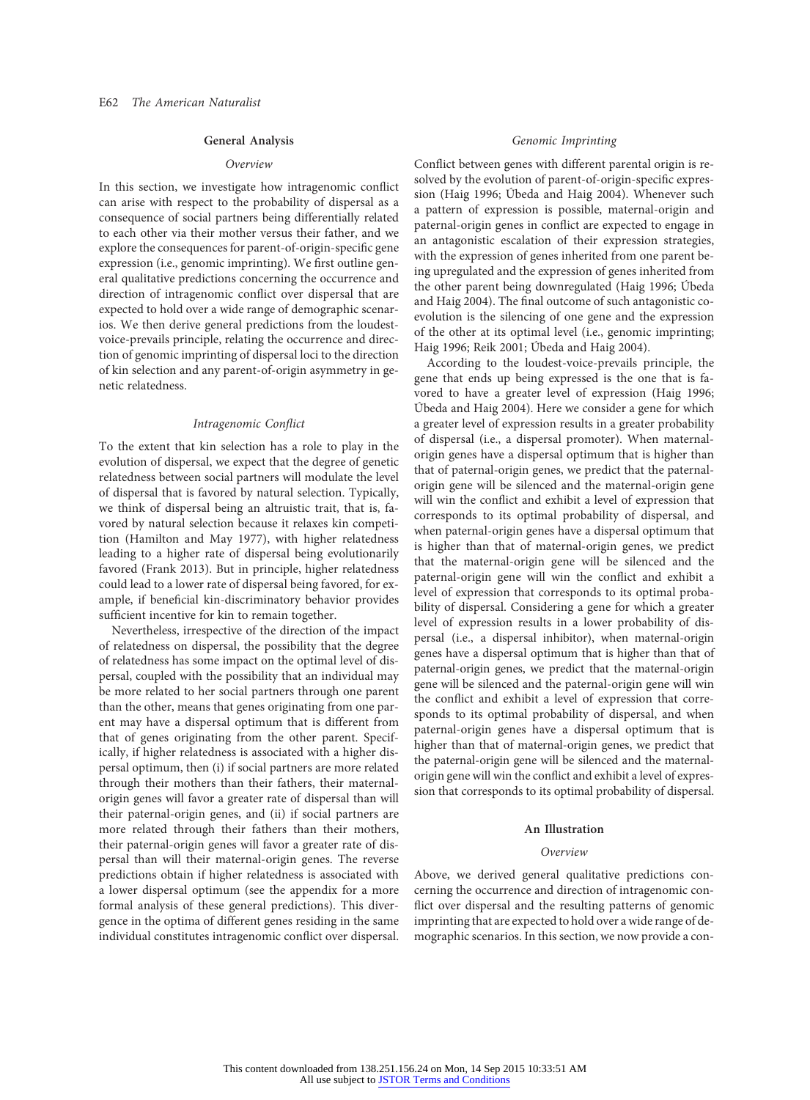# General Analysis

# Overview

In this section, we investigate how intragenomic conflict can arise with respect to the probability of dispersal as a consequence of social partners being differentially related to each other via their mother versus their father, and we explore the consequences for parent-of-origin-specific gene expression (i.e., genomic imprinting). We first outline general qualitative predictions concerning the occurrence and direction of intragenomic conflict over dispersal that are expected to hold over a wide range of demographic scenarios. We then derive general predictions from the loudestvoice-prevails principle, relating the occurrence and direction of genomic imprinting of dispersal loci to the direction of kin selection and any parent-of-origin asymmetry in genetic relatedness.

## Intragenomic Conflict

To the extent that kin selection has a role to play in the evolution of dispersal, we expect that the degree of genetic relatedness between social partners will modulate the level of dispersal that is favored by natural selection. Typically, we think of dispersal being an altruistic trait, that is, favored by natural selection because it relaxes kin competition (Hamilton and May 1977), with higher relatedness leading to a higher rate of dispersal being evolutionarily favored (Frank 2013). But in principle, higher relatedness could lead to a lower rate of dispersal being favored, for example, if beneficial kin-discriminatory behavior provides sufficient incentive for kin to remain together.

Nevertheless, irrespective of the direction of the impact of relatedness on dispersal, the possibility that the degree of relatedness has some impact on the optimal level of dispersal, coupled with the possibility that an individual may be more related to her social partners through one parent than the other, means that genes originating from one parent may have a dispersal optimum that is different from that of genes originating from the other parent. Specifically, if higher relatedness is associated with a higher dispersal optimum, then (i) if social partners are more related through their mothers than their fathers, their maternalorigin genes will favor a greater rate of dispersal than will their paternal-origin genes, and (ii) if social partners are more related through their fathers than their mothers, their paternal-origin genes will favor a greater rate of dispersal than will their maternal-origin genes. The reverse predictions obtain if higher relatedness is associated with a lower dispersal optimum (see the appendix for a more formal analysis of these general predictions). This divergence in the optima of different genes residing in the same individual constitutes intragenomic conflict over dispersal.

# Genomic Imprinting

Conflict between genes with different parental origin is resolved by the evolution of parent-of-origin-specific expression (Haig 1996; Úbeda and Haig 2004). Whenever such a pattern of expression is possible, maternal-origin and paternal-origin genes in conflict are expected to engage in an antagonistic escalation of their expression strategies, with the expression of genes inherited from one parent being upregulated and the expression of genes inherited from the other parent being downregulated (Haig 1996; Úbeda and Haig 2004). The final outcome of such antagonistic coevolution is the silencing of one gene and the expression of the other at its optimal level (i.e., genomic imprinting; Haig 1996; Reik 2001; Úbeda and Haig 2004).

According to the loudest-voice-prevails principle, the gene that ends up being expressed is the one that is favored to have a greater level of expression (Haig 1996; Úbeda and Haig 2004). Here we consider a gene for which a greater level of expression results in a greater probability of dispersal (i.e., a dispersal promoter). When maternalorigin genes have a dispersal optimum that is higher than that of paternal-origin genes, we predict that the paternalorigin gene will be silenced and the maternal-origin gene will win the conflict and exhibit a level of expression that corresponds to its optimal probability of dispersal, and when paternal-origin genes have a dispersal optimum that is higher than that of maternal-origin genes, we predict that the maternal-origin gene will be silenced and the paternal-origin gene will win the conflict and exhibit a level of expression that corresponds to its optimal probability of dispersal. Considering a gene for which a greater level of expression results in a lower probability of dispersal (i.e., a dispersal inhibitor), when maternal-origin genes have a dispersal optimum that is higher than that of paternal-origin genes, we predict that the maternal-origin gene will be silenced and the paternal-origin gene will win the conflict and exhibit a level of expression that corresponds to its optimal probability of dispersal, and when paternal-origin genes have a dispersal optimum that is higher than that of maternal-origin genes, we predict that the paternal-origin gene will be silenced and the maternalorigin gene will win the conflict and exhibit a level of expression that corresponds to its optimal probability of dispersal.

## An Illustration

#### Overview

Above, we derived general qualitative predictions concerning the occurrence and direction of intragenomic conflict over dispersal and the resulting patterns of genomic imprinting that are expected to hold over a wide range of demographic scenarios. In this section, we now provide a con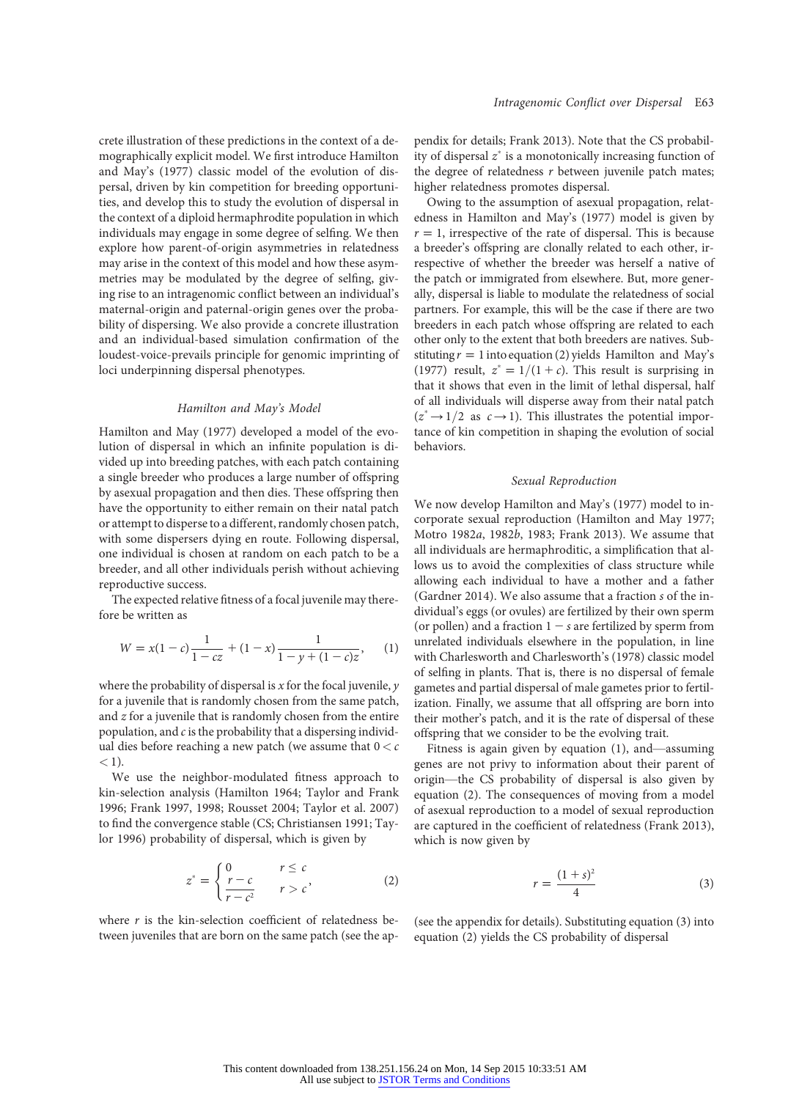crete illustration of these predictions in the context of a demographically explicit model. We first introduce Hamilton and May's (1977) classic model of the evolution of dispersal, driven by kin competition for breeding opportunities, and develop this to study the evolution of dispersal in the context of a diploid hermaphrodite population in which individuals may engage in some degree of selfing. We then explore how parent-of-origin asymmetries in relatedness may arise in the context of this model and how these asymmetries may be modulated by the degree of selfing, giving rise to an intragenomic conflict between an individual's maternal-origin and paternal-origin genes over the probability of dispersing. We also provide a concrete illustration and an individual-based simulation confirmation of the loudest-voice-prevails principle for genomic imprinting of loci underpinning dispersal phenotypes.

## Hamilton and May's Model

Hamilton and May (1977) developed a model of the evolution of dispersal in which an infinite population is divided up into breeding patches, with each patch containing a single breeder who produces a large number of offspring by asexual propagation and then dies. These offspring then have the opportunity to either remain on their natal patch or attempt to disperse to a different, randomly chosen patch, with some dispersers dying en route. Following dispersal, one individual is chosen at random on each patch to be a breeder, and all other individuals perish without achieving reproductive success.

The expected relative fitness of a focal juvenile may therefore be written as

$$
W = x(1 - c)\frac{1}{1 - cz} + (1 - x)\frac{1}{1 - y + (1 - c)z},
$$
 (1)

where the probability of dispersal is  $x$  for the focal juvenile,  $y$ for a juvenile that is randomly chosen from the same patch, and  $z$  for a juvenile that is randomly chosen from the entire population, and  $c$  is the probability that a dispersing individual dies before reaching a new patch (we assume that  $0 < c$  $($  1).

We use the neighbor-modulated fitness approach to kin-selection analysis (Hamilton 1964; Taylor and Frank 1996; Frank 1997, 1998; Rousset 2004; Taylor et al. 2007) to find the convergence stable (CS; Christiansen 1991; Taylor 1996) probability of dispersal, which is given by

$$
z^* = \begin{cases} 0 & r \leq c \\ \frac{r - c}{r - c^2} & r > c \end{cases}
$$
 (2)

where  $r$  is the kin-selection coefficient of relatedness between juveniles that are born on the same patch (see the ap-

pendix for details; Frank 2013). Note that the CS probability of dispersal  $z^*$  is a monotonically increasing function of the degree of relatedness  $r$  between juvenile patch mates; higher relatedness promotes dispersal.

Owing to the assumption of asexual propagation, relatedness in Hamilton and May's (1977) model is given by  $r = 1$ , irrespective of the rate of dispersal. This is because a breeder's offspring are clonally related to each other, irrespective of whether the breeder was herself a native of the patch or immigrated from elsewhere. But, more generally, dispersal is liable to modulate the relatedness of social partners. For example, this will be the case if there are two breeders in each patch whose offspring are related to each other only to the extent that both breeders are natives. Substituting  $r = 1$  into equation (2) yields Hamilton and May's (1977) result,  $z^* = 1/(1 + c)$ . This result is surprising in that it shows that even in the limit of lethal dispersal, half of all individuals will disperse away from their natal patch  $(z^* \rightarrow 1/2$  as  $c \rightarrow 1)$ . This illustrates the potential importance of kin competition in shaping the evolution of social behaviors.

# Sexual Reproduction

We now develop Hamilton and May's (1977) model to incorporate sexual reproduction (Hamilton and May 1977; Motro 1982a, 1982b, 1983; Frank 2013). We assume that all individuals are hermaphroditic, a simplification that allows us to avoid the complexities of class structure while allowing each individual to have a mother and a father (Gardner 2014). We also assume that a fraction s of the individual's eggs (or ovules) are fertilized by their own sperm (or pollen) and a fraction  $1 - s$  are fertilized by sperm from unrelated individuals elsewhere in the population, in line with Charlesworth and Charlesworth's (1978) classic model of selfing in plants. That is, there is no dispersal of female gametes and partial dispersal of male gametes prior to fertilization. Finally, we assume that all offspring are born into their mother's patch, and it is the rate of dispersal of these offspring that we consider to be the evolving trait.

Fitness is again given by equation (1), and—assuming genes are not privy to information about their parent of origin—the CS probability of dispersal is also given by equation (2). The consequences of moving from a model of asexual reproduction to a model of sexual reproduction are captured in the coefficient of relatedness (Frank 2013), which is now given by

$$
r = \frac{\left(1+s\right)^2}{4} \tag{3}
$$

(see the appendix for details). Substituting equation (3) into equation (2) yields the CS probability of dispersal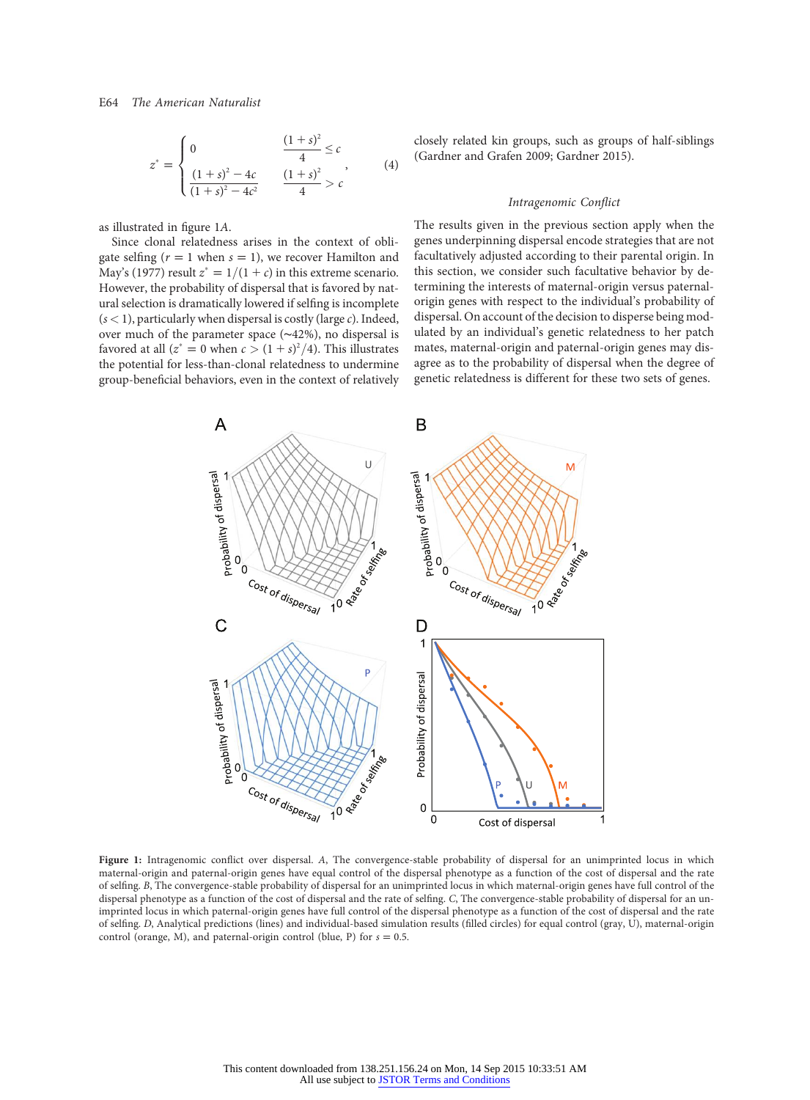$$
z^* = \begin{cases} 0 & \frac{(1+s)^2}{4} \le c \\ \frac{(1+s)^2 - 4c}{(1+s)^2 - 4c^2} & \frac{(1+s)^2}{4} > c \end{cases}
$$
 (4)

as illustrated in figure 1A.

Since clonal relatedness arises in the context of obligate selfing ( $r = 1$  when  $s = 1$ ), we recover Hamilton and May's (1977) result  $z^* = 1/(1 + c)$  in this extreme scenario. However, the probability of dispersal that is favored by natural selection is dramatically lowered if selfing is incomplete  $(s < 1)$ , particularly when dispersal is costly (large *c*). Indeed, over much of the parameter space (∼42%), no dispersal is favored at all  $(z^* = 0$  when  $c > (1 + s)^2/4$ ). This illustrates the potential for less-than-clonal relatedness to undermine group-beneficial behaviors, even in the context of relatively closely related kin groups, such as groups of half-siblings (Gardner and Grafen 2009; Gardner 2015).

#### Intragenomic Conflict

The results given in the previous section apply when the genes underpinning dispersal encode strategies that are not facultatively adjusted according to their parental origin. In this section, we consider such facultative behavior by determining the interests of maternal-origin versus paternalorigin genes with respect to the individual's probability of dispersal. On account of the decision to disperse being modulated by an individual's genetic relatedness to her patch mates, maternal-origin and paternal-origin genes may disagree as to the probability of dispersal when the degree of genetic relatedness is different for these two sets of genes.



Figure 1: Intragenomic conflict over dispersal. <sup>A</sup>, The convergence-stable probability of dispersal for an unimprinted locus in which maternal-origin and paternal-origin genes have equal control of the dispersal phenotype as a function of the cost of dispersal and the rate of selfing. B, The convergence-stable probability of dispersal for an unimprinted locus in which maternal-origin genes have full control of the dispersal phenotype as a function of the cost of dispersal and the rate of selfing. C, The convergence-stable probability of dispersal for an unimprinted locus in which paternal-origin genes have full control of the dispersal phenotype as a function of the cost of dispersal and the rate of selfing. D, Analytical predictions (lines) and individual-based simulation results (filled circles) for equal control (gray, U), maternal-origin control (orange, M), and paternal-origin control (blue, P) for  $s = 0.5$ .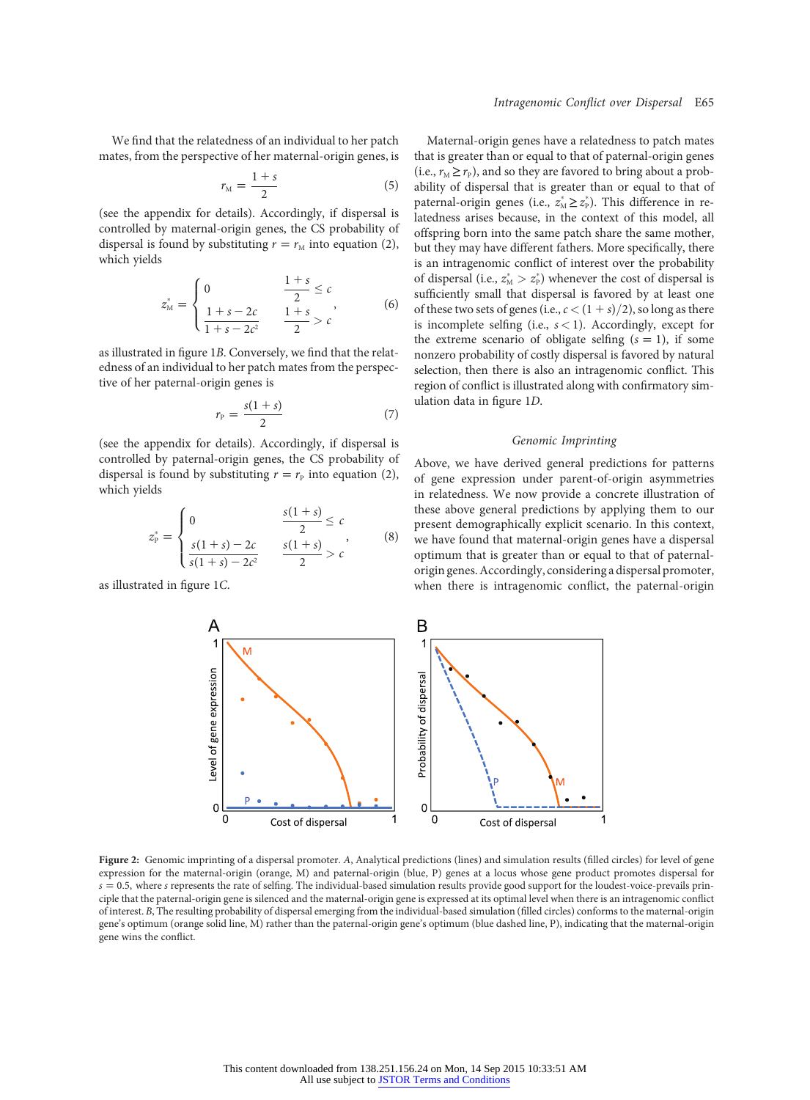We find that the relatedness of an individual to her patch mates, from the perspective of her maternal-origin genes, is

$$
r_{\rm M} = \frac{1+s}{2} \tag{5}
$$

(see the appendix for details). Accordingly, if dispersal is controlled by maternal-origin genes, the CS probability of dispersal is found by substituting  $r = r<sub>M</sub>$  into equation (2), which yields

$$
z_{\mathbf{M}}^* = \begin{cases} 0 & \frac{1+s}{2} \le c \\ \frac{1+s-2c}{1+s-2c^2} & \frac{1+s}{2} > c \end{cases} \tag{6}
$$

as illustrated in figure 1B. Conversely, we find that the relatedness of an individual to her patch mates from the perspective of her paternal-origin genes is

$$
r_{\rm P} = \frac{s(1+s)}{2} \tag{7}
$$

(see the appendix for details). Accordingly, if dispersal is controlled by paternal-origin genes, the CS probability of dispersal is found by substituting  $r = r_P$  into equation (2), which yields

$$
z_{P}^{*} = \begin{cases} 0 & \frac{s(1+s)}{2} \leq c \\ \frac{s(1+s)-2c}{s(1+s)-2c^{2}} & \frac{s(1+s)}{2} > c \end{cases}
$$
 (8)

as illustrated in figure 1C.

Maternal-origin genes have a relatedness to patch mates that is greater than or equal to that of paternal-origin genes (i.e.,  $r_M \ge r_P$ ), and so they are favored to bring about a probability of dispersal that is greater than or equal to that of paternal-origin genes (i.e.,  $z^*_{\text{M}} \geq z^*_{\text{P}}$ ). This difference in relatedness arises because, in the context of this model, all offspring born into the same patch share the same mother, but they may have different fathers. More specifically, there is an intragenomic conflict of interest over the probability of dispersal (i.e.,  $z_{\text{\tiny M}}^*>z_{\text{\tiny P}}^*$ ) whenever the cost of dispersal is sufficiently small that dispersal is favored by at least one of these two sets of genes (i.e.,  $c < (1 + s)/2$ ), so long as there is incomplete selfing (i.e.,  $s < 1$ ). Accordingly, except for the extreme scenario of obligate selfing  $(s = 1)$ , if some nonzero probability of costly dispersal is favored by natural selection, then there is also an intragenomic conflict. This region of conflict is illustrated along with confirmatory simulation data in figure 1D.

## Genomic Imprinting

Above, we have derived general predictions for patterns of gene expression under parent-of-origin asymmetries in relatedness. We now provide a concrete illustration of these above general predictions by applying them to our present demographically explicit scenario. In this context, we have found that maternal-origin genes have a dispersal optimum that is greater than or equal to that of paternalorigin genes. Accordingly, considering a dispersal promoter, when there is intragenomic conflict, the paternal-origin



Figure 2: Genomic imprinting of a dispersal promoter. <sup>A</sup>, Analytical predictions (lines) and simulation results (filled circles) for level of gene expression for the maternal-origin (orange, M) and paternal-origin (blue, P) genes at a locus whose gene product promotes dispersal for  $s = 0.5$ , where s represents the rate of selfing. The individual-based simulation results provide good support for the loudest-voice-prevails principle that the paternal-origin gene is silenced and the maternal-origin gene is expressed at its optimal level when there is an intragenomic conflict of interest. B, The resulting probability of dispersal emerging from the individual-based simulation (filled circles) conforms to the maternal-origin gene's optimum (orange solid line, M) rather than the paternal-origin gene's optimum (blue dashed line, P), indicating that the maternal-origin gene wins the conflict.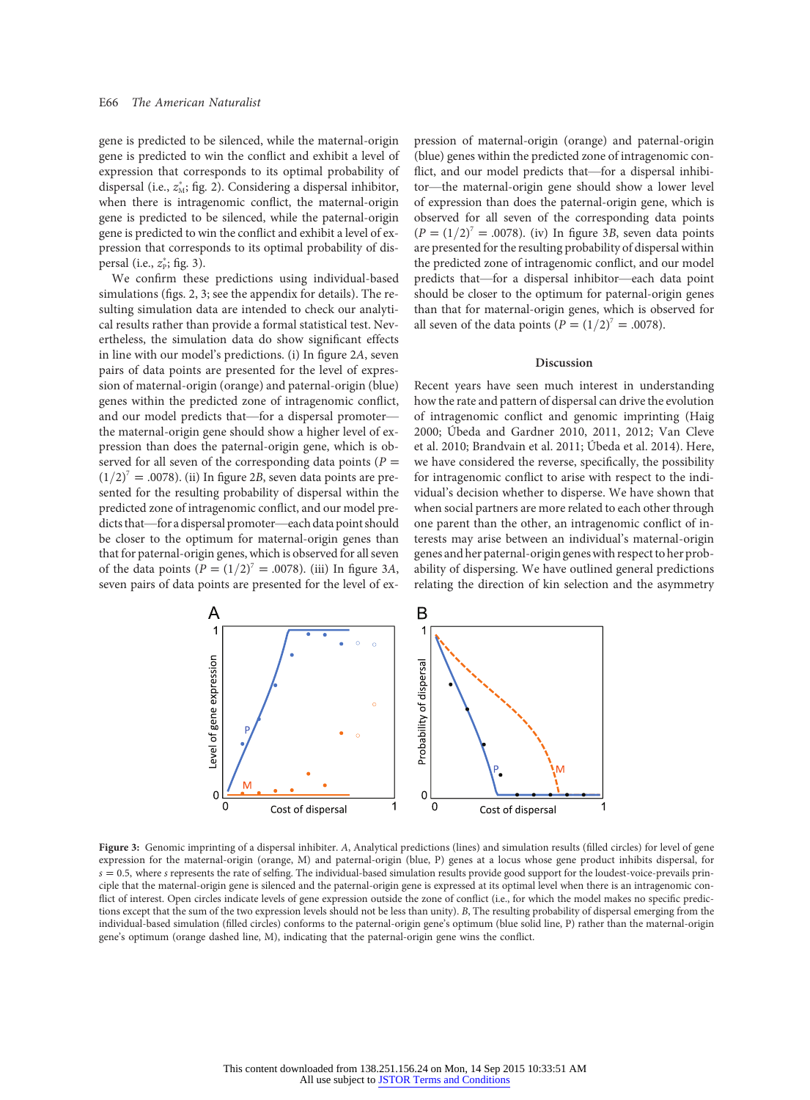gene is predicted to be silenced, while the maternal-origin gene is predicted to win the conflict and exhibit a level of expression that corresponds to its optimal probability of dispersal (i.e.,  $z_M^*$ ; fig. 2). Considering a dispersal inhibitor, when there is intragenomic conflict, the maternal-origin gene is predicted to be silenced, while the paternal-origin gene is predicted to win the conflict and exhibit a level of expression that corresponds to its optimal probability of dispersal (i.e.,  $z_P^*$ ; fig. 3).

We confirm these predictions using individual-based simulations (figs. 2, 3; see the appendix for details). The resulting simulation data are intended to check our analytical results rather than provide a formal statistical test. Nevertheless, the simulation data do show significant effects in line with our model's predictions. (i) In figure 2A, seven pairs of data points are presented for the level of expression of maternal-origin (orange) and paternal-origin (blue) genes within the predicted zone of intragenomic conflict, and our model predicts that—for a dispersal promoter the maternal-origin gene should show a higher level of expression than does the paternal-origin gene, which is observed for all seven of the corresponding data points ( $P =$  $(1/2)^7$  = .0078). (ii) In figure 2B, seven data points are presented for the resulting probability of dispersal within the predicted zone of intragenomic conflict, and our model predicts that—for a dispersal promoter—each data point should be closer to the optimum for maternal-origin genes than that for paternal-origin genes, which is observed for all seven of the data points  $(P=(1/2)^7 = .0078)$ . (iii) In figure 3A, seven pairs of data points are presented for the level of expression of maternal-origin (orange) and paternal-origin (blue) genes within the predicted zone of intragenomic conflict, and our model predicts that—for a dispersal inhibitor—the maternal-origin gene should show a lower level of expression than does the paternal-origin gene, which is observed for all seven of the corresponding data points  $(P = (1/2)^7 = .0078)$ . (iv) In figure 3B, seven data points are presented for the resulting probability of dispersal within the predicted zone of intragenomic conflict, and our model predicts that—for a dispersal inhibitor—each data point should be closer to the optimum for paternal-origin genes than that for maternal-origin genes, which is observed for all seven of the data points  $(P=(1/2)^7 = .0078)$ .

### Discussion

Recent years have seen much interest in understanding how the rate and pattern of dispersal can drive the evolution of intragenomic conflict and genomic imprinting (Haig 2000; Úbeda and Gardner 2010, 2011, 2012; Van Cleve et al. 2010; Brandvain et al. 2011; Úbeda et al. 2014). Here, we have considered the reverse, specifically, the possibility for intragenomic conflict to arise with respect to the individual's decision whether to disperse. We have shown that when social partners are more related to each other through one parent than the other, an intragenomic conflict of interests may arise between an individual's maternal-origin genes and her paternal-origin genes with respect to her probability of dispersing. We have outlined general predictions relating the direction of kin selection and the asymmetry



Figure 3: Genomic imprinting of a dispersal inhibiter. A, Analytical predictions (lines) and simulation results (filled circles) for level of gene expression for the maternal-origin (orange, M) and paternal-origin (blue, P) genes at a locus whose gene product inhibits dispersal, for  $s = 0.5$ , where s represents the rate of selfing. The individual-based simulation results provide good support for the loudest-voice-prevails principle that the maternal-origin gene is silenced and the paternal-origin gene is expressed at its optimal level when there is an intragenomic conflict of interest. Open circles indicate levels of gene expression outside the zone of conflict (i.e., for which the model makes no specific predictions except that the sum of the two expression levels should not be less than unity). B, The resulting probability of dispersal emerging from the individual-based simulation (filled circles) conforms to the paternal-origin gene's optimum (blue solid line, P) rather than the maternal-origin gene's optimum (orange dashed line, M), indicating that the paternal-origin gene wins the conflict.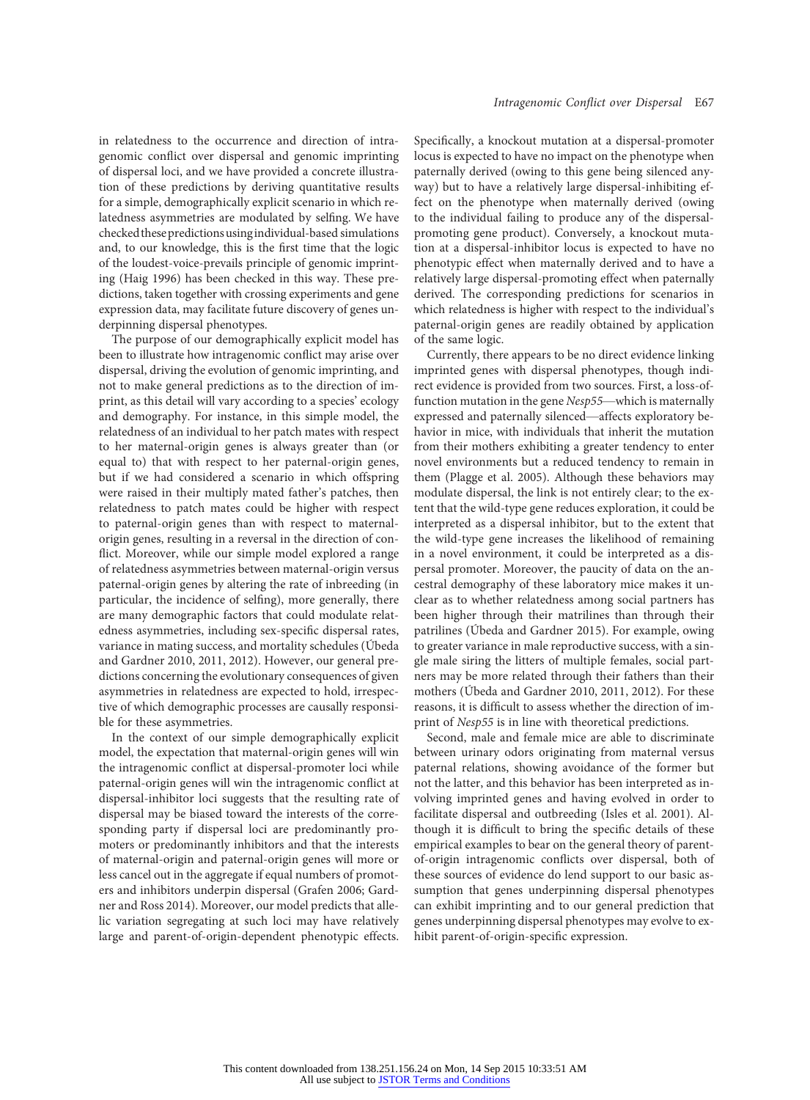in relatedness to the occurrence and direction of intragenomic conflict over dispersal and genomic imprinting of dispersal loci, and we have provided a concrete illustration of these predictions by deriving quantitative results for a simple, demographically explicit scenario in which relatedness asymmetries are modulated by selfing. We have checked these predictionsusingindividual-based simulations and, to our knowledge, this is the first time that the logic of the loudest-voice-prevails principle of genomic imprinting (Haig 1996) has been checked in this way. These predictions, taken together with crossing experiments and gene expression data, may facilitate future discovery of genes underpinning dispersal phenotypes.

The purpose of our demographically explicit model has been to illustrate how intragenomic conflict may arise over dispersal, driving the evolution of genomic imprinting, and not to make general predictions as to the direction of imprint, as this detail will vary according to a species' ecology and demography. For instance, in this simple model, the relatedness of an individual to her patch mates with respect to her maternal-origin genes is always greater than (or equal to) that with respect to her paternal-origin genes, but if we had considered a scenario in which offspring were raised in their multiply mated father's patches, then relatedness to patch mates could be higher with respect to paternal-origin genes than with respect to maternalorigin genes, resulting in a reversal in the direction of conflict. Moreover, while our simple model explored a range of relatedness asymmetries between maternal-origin versus paternal-origin genes by altering the rate of inbreeding (in particular, the incidence of selfing), more generally, there are many demographic factors that could modulate relatedness asymmetries, including sex-specific dispersal rates, variance in mating success, and mortality schedules (Úbeda and Gardner 2010, 2011, 2012). However, our general predictions concerning the evolutionary consequences of given asymmetries in relatedness are expected to hold, irrespective of which demographic processes are causally responsible for these asymmetries.

In the context of our simple demographically explicit model, the expectation that maternal-origin genes will win the intragenomic conflict at dispersal-promoter loci while paternal-origin genes will win the intragenomic conflict at dispersal-inhibitor loci suggests that the resulting rate of dispersal may be biased toward the interests of the corresponding party if dispersal loci are predominantly promoters or predominantly inhibitors and that the interests of maternal-origin and paternal-origin genes will more or less cancel out in the aggregate if equal numbers of promoters and inhibitors underpin dispersal (Grafen 2006; Gardner and Ross 2014). Moreover, our model predicts that allelic variation segregating at such loci may have relatively large and parent-of-origin-dependent phenotypic effects. Specifically, a knockout mutation at a dispersal-promoter locus is expected to have no impact on the phenotype when paternally derived (owing to this gene being silenced anyway) but to have a relatively large dispersal-inhibiting effect on the phenotype when maternally derived (owing to the individual failing to produce any of the dispersalpromoting gene product). Conversely, a knockout mutation at a dispersal-inhibitor locus is expected to have no phenotypic effect when maternally derived and to have a relatively large dispersal-promoting effect when paternally derived. The corresponding predictions for scenarios in which relatedness is higher with respect to the individual's paternal-origin genes are readily obtained by application of the same logic.

Currently, there appears to be no direct evidence linking imprinted genes with dispersal phenotypes, though indirect evidence is provided from two sources. First, a loss-offunction mutation in the gene Nesp55—which is maternally expressed and paternally silenced—affects exploratory behavior in mice, with individuals that inherit the mutation from their mothers exhibiting a greater tendency to enter novel environments but a reduced tendency to remain in them (Plagge et al. 2005). Although these behaviors may modulate dispersal, the link is not entirely clear; to the extent that the wild-type gene reduces exploration, it could be interpreted as a dispersal inhibitor, but to the extent that the wild-type gene increases the likelihood of remaining in a novel environment, it could be interpreted as a dispersal promoter. Moreover, the paucity of data on the ancestral demography of these laboratory mice makes it unclear as to whether relatedness among social partners has been higher through their matrilines than through their patrilines (Úbeda and Gardner 2015). For example, owing to greater variance in male reproductive success, with a single male siring the litters of multiple females, social partners may be more related through their fathers than their mothers (Úbeda and Gardner 2010, 2011, 2012). For these reasons, it is difficult to assess whether the direction of imprint of Nesp55 is in line with theoretical predictions.

Second, male and female mice are able to discriminate between urinary odors originating from maternal versus paternal relations, showing avoidance of the former but not the latter, and this behavior has been interpreted as involving imprinted genes and having evolved in order to facilitate dispersal and outbreeding (Isles et al. 2001). Although it is difficult to bring the specific details of these empirical examples to bear on the general theory of parentof-origin intragenomic conflicts over dispersal, both of these sources of evidence do lend support to our basic assumption that genes underpinning dispersal phenotypes can exhibit imprinting and to our general prediction that genes underpinning dispersal phenotypes may evolve to exhibit parent-of-origin-specific expression.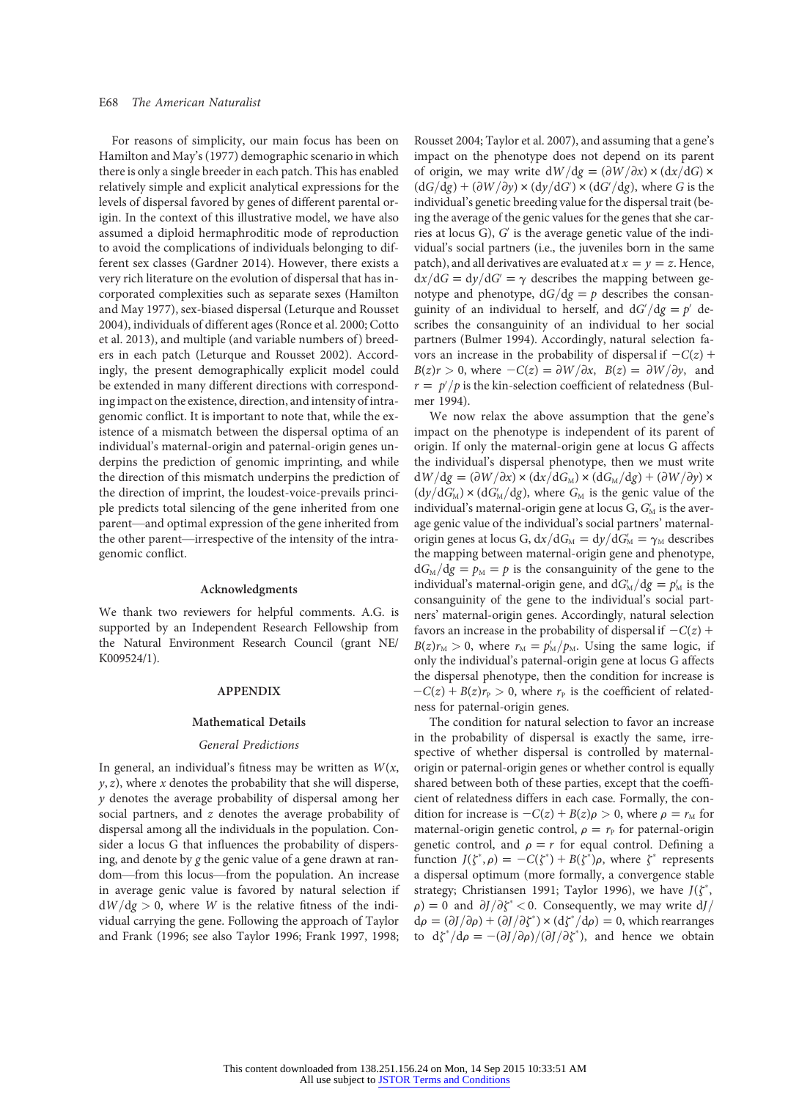For reasons of simplicity, our main focus has been on Hamilton and May's (1977) demographic scenario in which there is only a single breeder in each patch. This has enabled relatively simple and explicit analytical expressions for the levels of dispersal favored by genes of different parental origin. In the context of this illustrative model, we have also assumed a diploid hermaphroditic mode of reproduction to avoid the complications of individuals belonging to different sex classes (Gardner 2014). However, there exists a very rich literature on the evolution of dispersal that has incorporated complexities such as separate sexes (Hamilton and May 1977), sex-biased dispersal (Leturque and Rousset 2004), individuals of different ages (Ronce et al. 2000; Cotto et al. 2013), and multiple (and variable numbers of ) breeders in each patch (Leturque and Rousset 2002). Accordingly, the present demographically explicit model could be extended in many different directions with corresponding impact on the existence, direction, and intensity of intragenomic conflict. It is important to note that, while the existence of a mismatch between the dispersal optima of an individual's maternal-origin and paternal-origin genes underpins the prediction of genomic imprinting, and while the direction of this mismatch underpins the prediction of the direction of imprint, the loudest-voice-prevails principle predicts total silencing of the gene inherited from one parent—and optimal expression of the gene inherited from the other parent—irrespective of the intensity of the intragenomic conflict.

## Acknowledgments

We thank two reviewers for helpful comments. A.G. is supported by an Independent Research Fellowship from the Natural Environment Research Council (grant NE/ K009524/1).

## APPENDIX

#### Mathematical Details

#### General Predictions

In general, an individual's fitness may be written as  $W(x, \cdot)$  $y, z$ ), where x denotes the probability that she will disperse, y denotes the average probability of dispersal among her social partners, and z denotes the average probability of dispersal among all the individuals in the population. Consider a locus G that influences the probability of dispersing, and denote by g the genic value of a gene drawn at random—from this locus—from the population. An increase in average genic value is favored by natural selection if  $dW/dg > 0$ , where W is the relative fitness of the individual carrying the gene. Following the approach of Taylor and Frank (1996; see also Taylor 1996; Frank 1997, 1998; Rousset 2004; Taylor et al. 2007), and assuming that a gene's impact on the phenotype does not depend on its parent of origin, we may write  $dW/dg = (\partial W/\partial x) \times (dx/dG) \times$  $(dG/dg) + (\partial W/\partial y) \times (dy/dG') \times (dG/dg)$ , where G is the individual's genetic breeding value for the dispersal trait (being the average of the genic values for the genes that she carries at locus  $G$ ),  $G'$  is the average genetic value of the individual's social partners (i.e., the juveniles born in the same patch), and all derivatives are evaluated at  $x = y = z$ . Hence,  $dx/dG = dy/dG' = \gamma$  describes the mapping between genotype and phenotype,  $dG/dg = p$  describes the consanguinity of an individual to herself, and  $dG/dg = p'$  describes the consanguinity of an individual to her social partners (Bulmer 1994). Accordingly, natural selection favors an increase in the probability of dispersal if  $-C(z)$  +  $B(z)r > 0$ , where  $-C(z) = \frac{\partial W}{\partial x}$ ,  $B(z) = \frac{\partial W}{\partial y}$ , and  $r = p'/p$  is the kin-selection coefficient of relatedness (Bulmer 1994).

We now relax the above assumption that the gene's impact on the phenotype is independent of its parent of origin. If only the maternal-origin gene at locus G affects the individual's dispersal phenotype, then we must write  $dW/dg = (\partial W/\partial x) \times (dx/dG_M) \times (dG_M/dg) + (\partial W/\partial y) \times$  $(dy/dG'_{\text{M}}) \times (dG'_{\text{M}}/dg)$ , where  $G_{\text{M}}$  is the genic value of the individual's maternal-origin gene at locus G,  $G_{\hskip -0.2em M}^{\prime}$  is the average genic value of the individual's social partners' maternalorigin genes at locus G,  $dx/dG_M = dy/dG_M' = \gamma_M$  describes<br>the manning between maternal-origin gene and phenotype the mapping between maternal-origin gene and phenotype,  $dG_M/dg = p_M = p$  is the consanguinity of the gene to the individual's maternal-origin gene, and  $dG_M/dg = p_M$  is the consanguinity of the gene to the individual's social partners' maternal-origin genes. Accordingly, natural selection favors an increase in the probability of dispersal if  $-C(z)$  +  $B(z)r_M > 0$ , where  $r_M = p'_M/p_M$ . Using the same logic, if only the individual's paternal-origin gene at locus G affects the dispersal phenotype, then the condition for increase is  $-C(z) + B(z)r_{\rm p} > 0$ , where  $r_{\rm p}$  is the coefficient of relatedness for paternal-origin genes.

The condition for natural selection to favor an increase in the probability of dispersal is exactly the same, irrespective of whether dispersal is controlled by maternalorigin or paternal-origin genes or whether control is equally shared between both of these parties, except that the coefficient of relatedness differs in each case. Formally, the condition for increase is  $-C(z) + B(z)\rho > 0$ , where  $\rho = r_M$  for maternal-origin genetic control,  $\rho = r_{\rm p}$  for paternal-origin genetic control, and  $\rho = r$  for equal control. Defining a function  $J(\zeta^*, \rho) = -C(\zeta^*) + B(\zeta^*)\rho$ , where  $\zeta^*$  represents<br>a dispersed optimum (more formally a convergence stable a dispersal optimum (more formally, a convergence stable strategy; Christiansen 1991; Taylor 1996), we have  $J(\xi^*)$ <br>  $\rho_0 = 0$  and  $\frac{\partial I}{\partial \xi^*} < 0$ . Consequently, we may write dL  $\rho$ ) = 0 and  $\partial J/\partial \zeta^*$  < 0. Consequently, we may write dJ/  $d\rho = (\partial J/\partial \rho) + (\partial J/\partial \zeta^*) \times (d\zeta^*/d\rho) = 0$ , which rearranges<br>to  $d\zeta^*/d\rho = -(\partial J/\partial \rho)/(\partial J/\partial \zeta^*)$  and hence we obtain to  $d\zeta^*/d\rho = -(\partial J/\partial \rho)/(\partial J/\partial \zeta^*)$ , and hence we obtain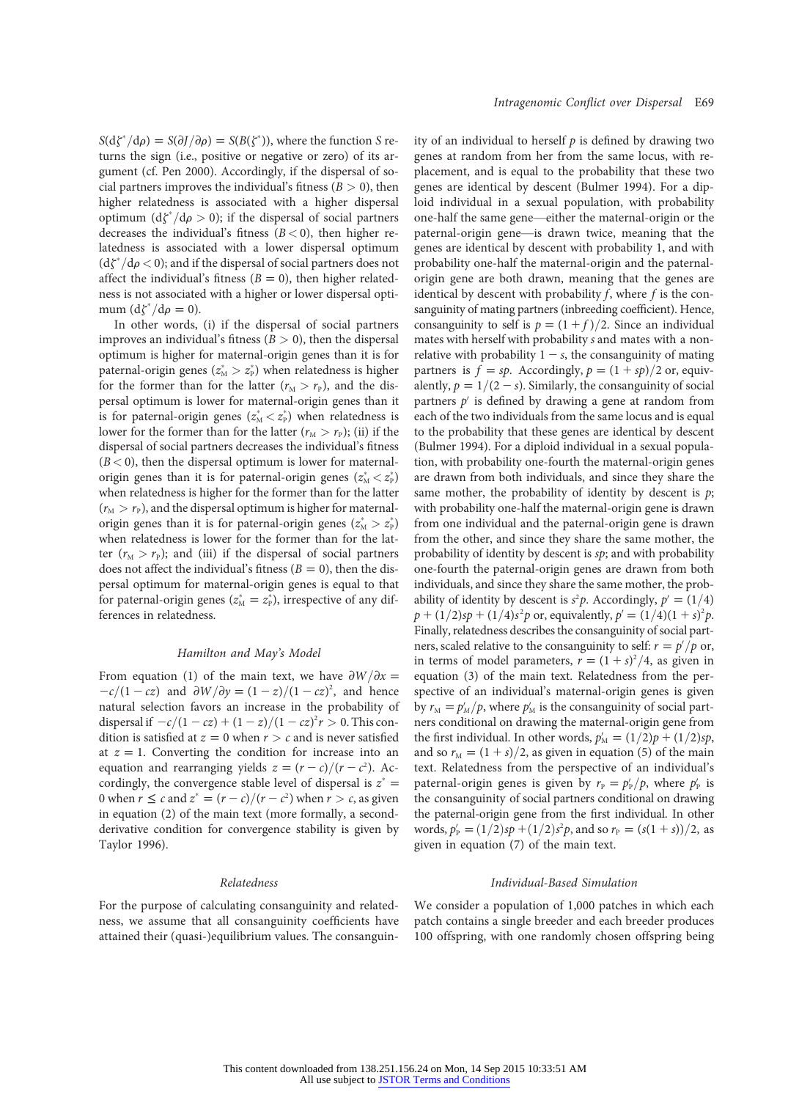$S(d\zeta^*/d\rho) = S(\partial J/\partial \rho) = S(B(\zeta^*))$ , where the function S re-<br>turns the sign (i.e., positive or negative or zero) of its arturns the sign (i.e., positive or negative or zero) of its argument (cf. Pen 2000). Accordingly, if the dispersal of social partners improves the individual's fitness ( $B > 0$ ), then higher relatedness is associated with a higher dispersal optimum  $(d\zeta^*/d\rho > 0)$ ; if the dispersal of social partners<br>decreases the individual's fitness  $(R < 0)$  then higher redecreases the individual's fitness  $(B < 0)$ , then higher relatedness is associated with a lower dispersal optimum  $(d\zeta^*/d\rho < 0)$ ; and if the dispersal of social partners does not affect the individual's fitness  $(R = 0)$  then higher related. affect the individual's fitness ( $B = 0$ ), then higher relatedness is not associated with a higher or lower dispersal optimum  $(d\zeta^*/d\rho = 0)$ .<br>In other words

In other words, (i) if the dispersal of social partners improves an individual's fitness ( $B > 0$ ), then the dispersal optimum is higher for maternal-origin genes than it is for paternal-origin genes ( $z^*_{\scriptscriptstyle\rm{M}}>z^*_{\scriptscriptstyle\rm{P}}$ ) when relatedness is higher for the former than for the latter  $(r_M > r_P)$ , and the dispersal optimum is lower for maternal-origin genes than it is for paternal-origin genes  $(z_M^* < z_P^*)$  when relatedness is lower for the former than for the latter  $(r_M > r_P)$ ; (ii) if the dispersal of social partners decreases the individual's fitness  $(B < 0)$ , then the dispersal optimum is lower for maternalorigin genes than it is for paternal-origin genes  $(z_M^* < z_P^*)$ when relatedness is higher for the former than for the latter  $(r_M > r_P)$ , and the dispersal optimum is higher for maternalorigin genes than it is for paternal-origin genes  $(z_{\text{M}}^* > z_{\text{P}}^*)$ when relatedness is lower for the former than for the latter  $(r_M > r_P)$ ; and (iii) if the dispersal of social partners does not affect the individual's fitness ( $B = 0$ ), then the dispersal optimum for maternal-origin genes is equal to that for paternal-origin genes ( $z<sub>M</sub><sup>*</sup> = z<sub>P</sub><sup>*</sup>$ ), irrespective of any differences in relatedness.

## Hamilton and May's Model

From equation (1) of the main text, we have  $\frac{\partial W}{\partial x}$  =  $-c/(1 - cz)$  and  $\frac{\partial W}{\partial y} = \frac{1 - z}{1 - cz^2}$ , and hence natural selection favors an increase in the probability of dispersal if  $-c/(1 - cz) + (1 - z)/(1 - cz)^2 r > 0$ . This condition is satisfied at  $z = 0$  when  $r > c$  and is never satisfied at  $z = 1$ . Converting the condition for increase into an equation and rearranging yields  $z = (r - c)/(r - c^2)$ . Accordingly, the convergence stable level of dispersal is  $z^* =$ 0 when  $r \le c$  and  $z^* = (r - c)/(r - c^2)$  when  $r > c$ , as given in equation (2) of the main text (more formally, a secondderivative condition for convergence stability is given by Taylor 1996).

#### Relatedness

For the purpose of calculating consanguinity and relatedness, we assume that all consanguinity coefficients have attained their (quasi-)equilibrium values. The consanguinity of an individual to herself  $p$  is defined by drawing two genes at random from her from the same locus, with replacement, and is equal to the probability that these two genes are identical by descent (Bulmer 1994). For a diploid individual in a sexual population, with probability one-half the same gene—either the maternal-origin or the paternal-origin gene—is drawn twice, meaning that the genes are identical by descent with probability 1, and with probability one-half the maternal-origin and the paternalorigin gene are both drawn, meaning that the genes are identical by descent with probability  $f$ , where  $f$  is the consanguinity of mating partners (inbreeding coefficient). Hence, consanguinity to self is  $p = (1 + f)/2$ . Since an individual mates with herself with probability s and mates with a nonrelative with probability  $1 - s$ , the consanguinity of mating partners is  $f = sp$ . Accordingly,  $p = (1 + sp)/2$  or, equivalently,  $p = 1/(2 - s)$ . Similarly, the consanguinity of social partners  $p'$  is defined by drawing a gene at random from each of the two individuals from the same locus and is equal to the probability that these genes are identical by descent (Bulmer 1994). For a diploid individual in a sexual population, with probability one-fourth the maternal-origin genes are drawn from both individuals, and since they share the same mother, the probability of identity by descent is  $p$ ; with probability one-half the maternal-origin gene is drawn from one individual and the paternal-origin gene is drawn from the other, and since they share the same mother, the probability of identity by descent is  $sp$ ; and with probability one-fourth the paternal-origin genes are drawn from both individuals, and since they share the same mother, the probability of identity by descent is  $s^2p$ . Accordingly,  $p' = (1/4)$  $p + (1/2)sp + (1/4)s^2p$  or, equivalently,  $p' = (1/4)(1 + s)^2p$ . Finally, relatedness describes the consanguinity of social partners, scaled relative to the consanguinity to self:  $r = p'/p$  or, in terms of model parameters,  $r = (1 + s)^2/4$ , as given in equation (3) of the main text. Relatedness from the perspective of an individual's maternal-origin genes is given by  $r_M = p'_M/p$ , where  $p'_M$  is the consanguinity of social partners conditional on drawing the maternal-origin gene from the first individual. In other words,  $p'_M = (1/2)p + (1/2)sp$ , and so  $r_M = (1 + s)/2$ , as given in equation (5) of the main text. Relatedness from the perspective of an individual's paternal-origin genes is given by  $r_{\rm P} = p_{\rm P}'/p$ , where  $p_{\rm P}'$  is the consanguinity of social partners conditional on drawing the paternal-origin gene from the first individual. In other words,  $p'_P = (1/2)sp + (1/2)s^2p$ , and so  $r_P = (s(1 + s))/2$ , as given in equation (7) of the main text.

### Individual-Based Simulation

We consider a population of 1,000 patches in which each patch contains a single breeder and each breeder produces 100 offspring, with one randomly chosen offspring being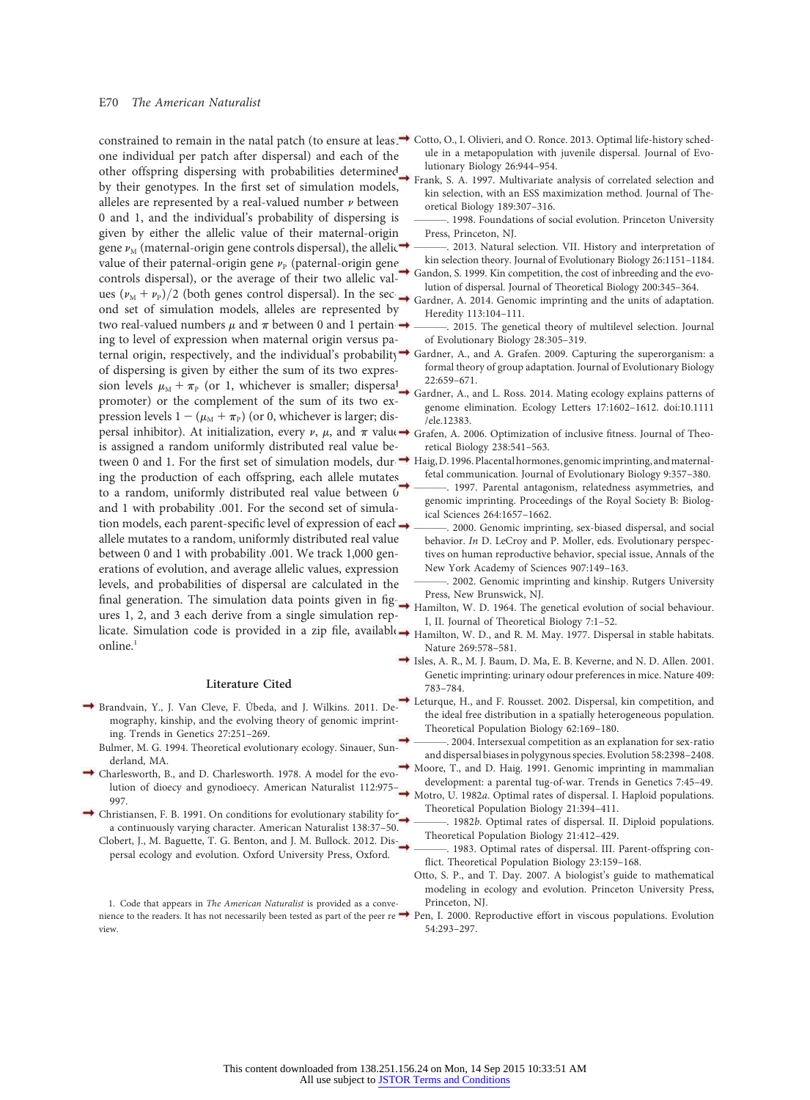## E70 The American Naturalist

one individual per patch after dispersal) and each of the other offspring dispersing with probabilities determined by their genotypes. In the first set of simulation models, alleles are represented by a real-valued number  $\nu$  between 0 and 1, and the individual's probability of dispersing is given by either the allelic value of their maternal-origin gene  $\nu_{\text{M}}$  (maternal-origin gene controls dispersal), the allelic value of their paternal-origin gene  $\nu_{\rm p}$  (paternal-origin gene controls dispersal), or the average of their two allelic values  $(\nu_M + \nu_P)/2$  (both genes control dispersal). In the second set of simulation models, alleles are represented by two real-valued numbers  $\mu$  and  $\pi$  between 0 and 1 pertain  $\rightarrow$ ing to level of expression when maternal origin versus paternal origin, respectively, and the individual's probability of dispersing is given by either the sum of its two expression levels  $\mu_M + \pi_P$  (or 1, whichever is smaller; dispersal promoter) or the complement of the sum of its two expression levels  $1 - (\mu_M + \pi_P)$  (or 0, whichever is larger; dispersal inhibitor). At initialization, every  $\nu$ ,  $\mu$ , and  $\pi$  value is assigned a random uniformly distributed real value between 0 and 1. For the first set of simulation models, during the production of each offspring, each allele mutates to a random, uniformly distributed real value between 0 and 1 with probability .001. For the second set of simulation models, each parent-specific level of expression of each  $\rightarrow$ allele mutates to a random, uniformly distributed real value between 0 and 1 with probability .001. We track 1,000 generations of evolution, and average allelic values, expression levels, and probabilities of dispersal are calculated in the final generation. The simulation data points given in figures 1, 2, and 3 each derive from a single simulation replicate. Simulation code is provided in a zip file, available online.<sup>1</sup>

## Literature Cited

- Brandvain, Y., J. Van Cleve, F. Úbeda, and J. Wilkins. 2011. Demography, kinship, and the evolving theory of genomic imprinting. Trends in Genetics 27:251–269.
	- Bulmer, M. G. 1994. Theoretical evolutionary ecology. Sinauer, Sunderland, MA.
- Charlesworth, B., and D. Charlesworth. 1978. A model for the evolution of dioecy and gynodioecy. American Naturalist 112:975– 997.
- Christiansen, F. B. 1991. On conditions for evolutionary stability for a continuously varying character. American Naturalist 138:37–50. Clobert, J., M. Baguette, T. G. Benton, and J. M. Bullock. 2012. Dis
	- persal ecology and evolution. Oxford University Press, Oxford.

nience to the readers. It has not necessarily been tested as part of the peer re  $\rightarrow$  Pen, I. 2000. Reproductive effort in viscous populations. Evolution 1. Code that appears in The American Naturalist is provided as a conveview.

- constrained to remain in the natal patch (to ensure at least Cotto, O., I. Olivieri, and O. Ronce. 2013. Optimal life-history schedule in a metapopulation with juvenile dispersal. Journal of Evolutionary Biology 26:944–954.
	- Frank, S. A. 1997. Multivariate analysis of correlated selection and kin selection, with an ESS maximization method. Journal of Theoretical Biology 189:307–316.
	- ———. 1998. Foundations of social evolution. Princeton University Press, Princeton, NJ.
	- . 2013. Natural selection. VII. History and interpretation of kin selection theory. Journal of Evolutionary Biology 26:1151–1184.
	- Gandon, S. 1999. Kin competition, the cost of inbreeding and the evolution of dispersal. Journal of Theoretical Biology 200:345–364.
	- Gardner, A. 2014. Genomic imprinting and the units of adaptation. Heredity 113:104–111.
	- ———. 2015. The genetical theory of multilevel selection. Journal of Evolutionary Biology 28:305–319.
	- Gardner, A., and A. Grafen. 2009. Capturing the superorganism: a formal theory of group adaptation. Journal of Evolutionary Biology 22:659–671.
	- Gardner, A., and L. Ross. 2014. Mating ecology explains patterns of genome elimination. Ecology Letters 17:1602–1612. doi:10.1111 /ele.12383.
	- Grafen, A. 2006. Optimization of inclusive fitness. Journal of Theoretical Biology 238:541–563.
	- Haig, D. 1996. Placental hormones, genomic imprinting, and maternalfetal communication. Journal of Evolutionary Biology 9:357–380.
	- -. 1997. Parental antagonism, relatedness asymmetries, and genomic imprinting. Proceedings of the Royal Society B: Biological Sciences 264:1657–1662.
	- 2000. Genomic imprinting, sex-biased dispersal, and social behavior. In D. LeCroy and P. Moller, eds. Evolutionary perspectives on human reproductive behavior, special issue, Annals of the New York Academy of Sciences 907:149–163.
	- 2002. Genomic imprinting and kinship. Rutgers University Press, New Brunswick, NJ.
	- Hamilton, W. D. 1964. The genetical evolution of social behaviour. I, II. Journal of Theoretical Biology 7:1–52.
	- Hamilton, W. D., and R. M. May. 1977. Dispersal in stable habitats. Nature 269:578–581.
	- Isles, A. R., M. J. Baum, D. Ma, E. B. Keverne, and N. D. Allen. 2001. Genetic imprinting: urinary odour preferences in mice. Nature 409: 783–784.
	- Leturque, H., and F. Rousset. 2002. Dispersal, kin competition, and the ideal free distribution in a spatially heterogeneous population. Theoretical Population Biology 62:169–180.
	- 2004. Intersexual competition as an explanation for sex-ratio and dispersal biases in polygynous species. Evolution 58:2398–2408.
	- Moore, T., and D. Haig. 1991. Genomic imprinting in mammalian development: a parental tug-of-war. Trends in Genetics 7:45–49.
	- Motro, U. 1982a. Optimal rates of dispersal. I. Haploid populations. Theoretical Population Biology 21:394–411.
	- ———. 1982b. Optimal rates of dispersal. II. Diploid populations. Theoretical Population Biology 21:412–429.
	- 1983. Optimal rates of dispersal. III. Parent-offspring conflict. Theoretical Population Biology 23:159–168.
	- Otto, S. P., and T. Day. 2007. A biologist's guide to mathematical modeling in ecology and evolution. Princeton University Press, Princeton, NJ.
	- 54:293–297.